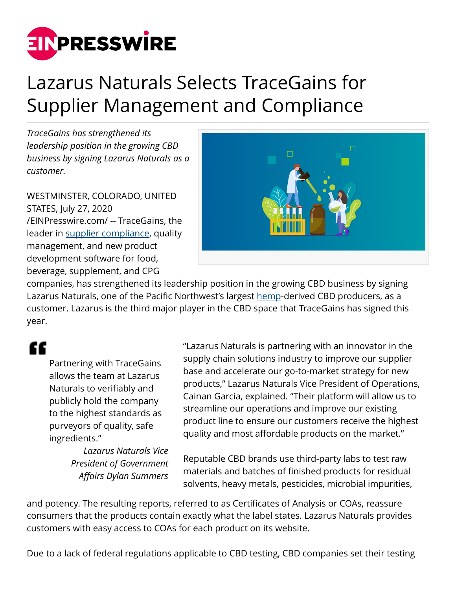

## Lazarus Naturals Selects TraceGains for Supplier Management and Compliance

*TraceGains has strengthened its leadership position in the growing CBD business by signing Lazarus Naturals as a customer.*

WESTMINSTER, COLORADO, UNITED STATES, July 27, 2020 [/EINPresswire.com/](http://www.einpresswire.com) -- TraceGains, the leader in [supplier compliance,](https://www.tracegains.com/supplier-compliance) quality management, and new product development software for food, beverage, supplement, and CPG



companies, has strengthened its leadership position in the growing CBD business by signing Lazarus Naturals, one of the Pacific Northwest's largest [hemp](https://www.tracegains.com/hemp)-derived CBD producers, as a customer. Lazarus is the third major player in the CBD space that TraceGains has signed this year.

## "

Partnering with TraceGains allows the team at Lazarus Naturals to verifiably and publicly hold the company to the highest standards as purveyors of quality, safe ingredients."

> *Lazarus Naturals Vice President of Government Affairs Dylan Summers*

"Lazarus Naturals is partnering with an innovator in the supply chain solutions industry to improve our supplier base and accelerate our go-to-market strategy for new products," Lazarus Naturals Vice President of Operations, Cainan Garcia, explained. "Their platform will allow us to streamline our operations and improve our existing product line to ensure our customers receive the highest quality and most affordable products on the market."

Reputable CBD brands use third-party labs to test raw materials and batches of finished products for residual solvents, heavy metals, pesticides, microbial impurities,

and potency. The resulting reports, referred to as Certificates of Analysis or COAs, reassure consumers that the products contain exactly what the label states. Lazarus Naturals provides customers with easy access to COAs for each product on its website.

Due to a lack of federal regulations applicable to CBD testing, CBD companies set their testing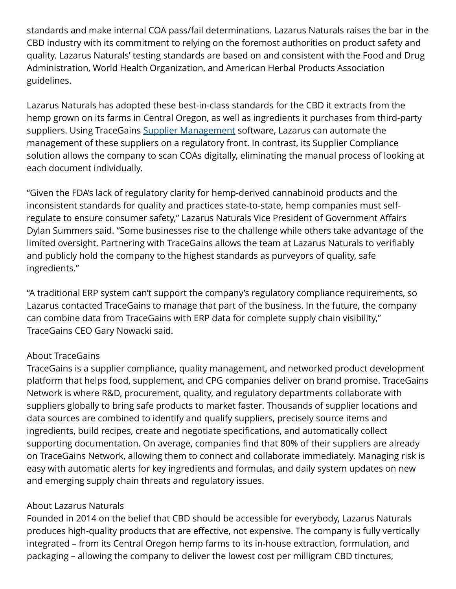standards and make internal COA pass/fail determinations. Lazarus Naturals raises the bar in the CBD industry with its commitment to relying on the foremost authorities on product safety and quality. Lazarus Naturals' testing standards are based on and consistent with the Food and Drug Administration, World Health Organization, and American Herbal Products Association guidelines.

Lazarus Naturals has adopted these best-in-class standards for the CBD it extracts from the hemp grown on its farms in Central Oregon, as well as ingredients it purchases from third-party suppliers. Using TraceGains [Supplier Management](https://www.tracegains.com/supplier-management) software, Lazarus can automate the management of these suppliers on a regulatory front. In contrast, its Supplier Compliance solution allows the company to scan COAs digitally, eliminating the manual process of looking at each document individually.

"Given the FDA's lack of regulatory clarity for hemp-derived cannabinoid products and the inconsistent standards for quality and practices state-to-state, hemp companies must selfregulate to ensure consumer safety," Lazarus Naturals Vice President of Government Affairs Dylan Summers said. "Some businesses rise to the challenge while others take advantage of the limited oversight. Partnering with TraceGains allows the team at Lazarus Naturals to verifiably and publicly hold the company to the highest standards as purveyors of quality, safe ingredients."

"A traditional ERP system can't support the company's regulatory compliance requirements, so Lazarus contacted TraceGains to manage that part of the business. In the future, the company can combine data from TraceGains with ERP data for complete supply chain visibility," TraceGains CEO Gary Nowacki said.

## About TraceGains

TraceGains is a supplier compliance, quality management, and networked product development platform that helps food, supplement, and CPG companies deliver on brand promise. TraceGains Network is where R&D, procurement, quality, and regulatory departments collaborate with suppliers globally to bring safe products to market faster. Thousands of supplier locations and data sources are combined to identify and qualify suppliers, precisely source items and ingredients, build recipes, create and negotiate specifications, and automatically collect supporting documentation. On average, companies find that 80% of their suppliers are already on TraceGains Network, allowing them to connect and collaborate immediately. Managing risk is easy with automatic alerts for key ingredients and formulas, and daily system updates on new and emerging supply chain threats and regulatory issues.

## About Lazarus Naturals

Founded in 2014 on the belief that CBD should be accessible for everybody, Lazarus Naturals produces high-quality products that are effective, not expensive. The company is fully vertically integrated – from its Central Oregon hemp farms to its in-house extraction, formulation, and packaging – allowing the company to deliver the lowest cost per milligram CBD tinctures,